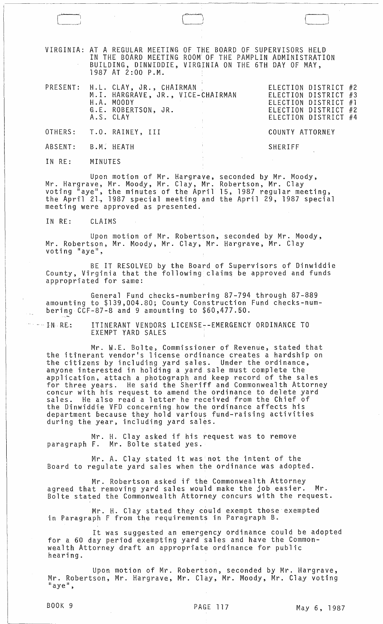VIRGINIA: AT A REGULAR MEETING OF THE BOARD OF SUPERVISORS HELD IN THE BOARD MEETING ROOM' OF THE PAMPLIN ADMINISTRATION BUILDING, DINWIDDIE, VIRGINIA ON THE 6TH DAY OF MAY, 1987 AT 2:00 P.M.

 $\Box$ 

|        | PRESENT: H.L. CLAY, JR., CHAIRMAN<br>M.I. HARGRAVE, JR., VICE-CHAIRMAN<br>H.A. MOODY<br>G.E. ROBERTSON, JR.<br>A.S. CLAY | ELECTION DISTRICT #2<br>ELECTION DISTRICT #3<br>ELECTION DISTRICT #1<br>ELECTION DISTRICT #2<br>ELECTION DISTRICT #4 |
|--------|--------------------------------------------------------------------------------------------------------------------------|----------------------------------------------------------------------------------------------------------------------|
|        | OTHERS: T.O. RAINEY, III                                                                                                 | COUNTY ATTORNEY                                                                                                      |
|        | ABSENT: B.M. HEATH                                                                                                       | SHERIFF                                                                                                              |
| IN RE: | MINUTES                                                                                                                  |                                                                                                                      |

Upon motion of Mr. Hargrave, seconded by Mr. Moody, Mr. Hargrave, Mr. Moody, Mr. Clay, Mr. Robertson, Mr. Clay voting "aye", the minutes of the April 15,1987 regular meeting, the April 21. 1987 special meeting and the April 29, 1987 special meeting were approved as presented.

IN RE: CLAIMS

Upon motion of Mr. Robertson, seconded by Mr. Moody, Mr. Robertson, Mr. Moody, Mr. Clay, Mr. Hargrave, Mr. Clay voting "aye",

BE IT RESOLVED by the Board of Supervisors of Dinwiddie County, Virginia that the following claims be approved and funds appropriated for same:

General Fund checks-numbering 87-794 through 87-889 amounting to \$139,004.80; County Construction Fund checks-numbering CCF-87-8 and 9 amounting to \$60,477.50.

...IN.RE: ITINERANT VENDORS LICENSE--EMERGENCY ORDINANCE TO EXEMPT YARD SALES

Mr. W.E. Bolte, Commissioner of Revenue, stated that the itinerant vendor's license ordinance creates a hardship on the citizens by including yard sales. Under the ordinance, anyone interested in holding a yard sale must complete the application, attach a photbgraph and keep record of the sales for three years. He said the Sheriff and Commonwealth Attorney concur with his request to amend the ordinance to delete yard sales. He also read a letter he received from the Chief of the Dinwiddie VFD concerning how the ordinance affects his department because they hold various fund-raising activities during the year, including yard sales.

Mr. H. Clay asked if his request was to remove paragraph F. Mr. Bolte stated yes.

Mr. A. Clay stated it was not the intent of the Board to regulate yard sales when the ordinance was adopted.

Mr. Robertson asked if the Commonwealth Attorney agreed that removing yard sales would make the job easier. Mr. Bolte stated the Commonwealth Attorney concurs with the request.

Mr. H. Clay stated they could exempt those exempted in Paragraph B.

It was suggested an emergency ordinance could be adopted for a 60 day period exempting yard sales and have the Commonwealth Attorney draft an appropriate ordinance for public hearing.

Upon motion of Mr. Robertson, seconded by Mr. Hargrave, Mr. Robertson, Mr. Hargrave, Mr. Clay, Mr. Moody, Mr. Clay voting "aye",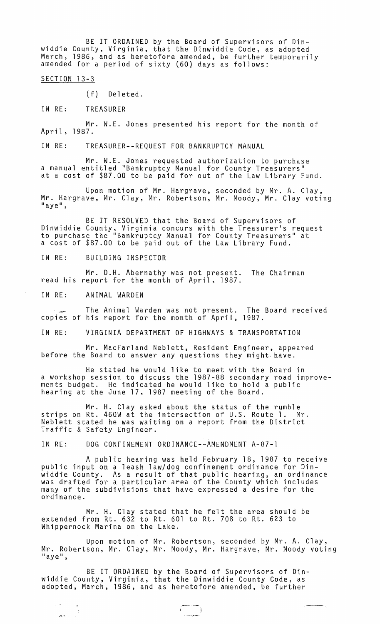BE IT ORDAINED by the Board of Supervisors of Dinwiddie County, Virginia, that the Dinwiddie Code, as adopted March, 1986, and as heretofore amended, be further temporarily amended for a period of sixty (60) days as follows:

SECTION 13-3

(f) Deleted.

IN RE: TREASURER

Mr. W.E. Jones presented his report for the month of April, 1987.

IN RE: TREASURER--REQUEST FOR BANKRUPTCY MANUAL

Mr. W.E. Jones requested authorization to purchase a manual entitled "Bankruptcy Manual for County Treasurers" at a cost of \$87.00 to be paid for out of the Law Library Fund.

Upon motion of Mr. Hargrave, seconded by'Mr. A. Clay, Mr. Hargrave, Mr. Clay, Mr. Robertson, Mr. Moody, Mr. Clay voting<br>"aye",

BE IT RESOLVED that the Board of Supervisors of Dinwiddie County, Virginia concurs with the Treasurer's request to purchase the "Bankruptcy Manual for County Treasurers" at a cost of \$87.00 to be paid out of the Law Library Fund.

IN RE: BUILDING INSPECTOR

Mr. D.H. Abernathy was not present. The Chairman read his report for the month of April, 1987.

IN RE: ANIMAL WARDEN

 $\hat{\pi}$  ,  $\hat{\pi}$  ,  $\hat{\pi}$  ,  $\hat{\pi}$  ,  $\hat{\pi}$  $\omega_{\mathbf{X}}(\mathbf{e}^{\frac{1}{2}},\mathbf{e}^{\frac{1}{2}})_{\mathbf{e}}\in\mathbb{R}^{3}$ 

The Animal Warden was not present. The Board received copies of his report for the month of April, 1987.

IN RE: VIRGINIA DEPARTMENT OF HIGHWAYS & TRANSPORTATION

Mr. MacFarland Neblett, Resident Engineer, appeared before the Board to answer any questions they might have.

He stated he would like to meet with the Board in a workshop session to discuss the 1987-88 secondary road improvements budget. He indicated he would like to hold a public hearing at the June 17, 1987 meeting of the Board.

Mr. H. Clay asked about the status of the rumble strips on Rt. 460W at the intersection of U.S. Route 1. Mr. Neblett stated he was waiting on a report from the District Traffic & Safety Engineer.

IN RE: DOG CONFINEMENT ORDINANCE--AMENDMENT A-87-1

A public hearing was held February 18, 1987 to receive public input on a leash law/dog confinement ordinance for Dinwiddie County. As a result of that public hearing, an ordinance was drafted for a particular area of the County which includes many of the subdivisions that have expressed a desire for the ordinance.

Mr. H. Clay stated that he felt the area should be extended from Rt. 632 to Rt. 601 to Rt. 708 to Rt. 623 to Whippernock Marina on the Lake.

Upon motion of Mr. Robertson, seconded by Mr. A. Clay, Mr. Robertson, Mr. Clay, Mr. Moody, Mr. Hargrave, Mr. Moody voting<br>"aye",

BE IT ORDAINED by the Board of Supervisors of Dinwiddie County, Virginia, that the Dinwiddie County Code, as adopted, March, 1986, and as heretofore amended, be further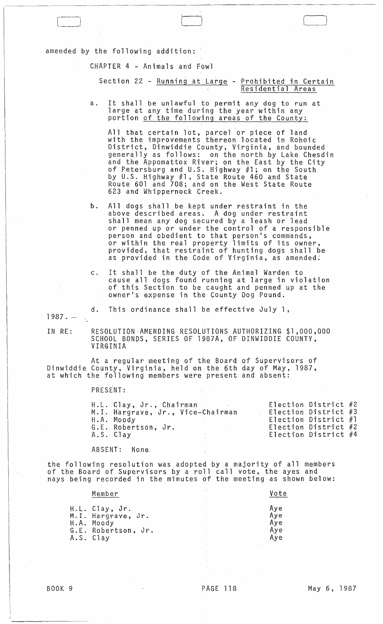amended by the following addition:

[=-oJ

CHAPTER 4 - Animals and Fowl

Section 22 - Running at Large - Prohibited in Certain Residential Areas

a. It shall be unlawful to permit any dog to run at large at any time during the year within any portion of the following areas of the County:

All that certain lot, parcel or piece of land with the improvements thereon located in Rohoic District, Dinwiddie County, Virginia, and bounded generally as follows: on the north by Lake Chesdin and the Appomattox River; on the East by the City of Petersburg and U.S. Highway #1; on the South by U.S. Highway #1, State Route 460 and State Route 601 and 708; and on the West State Route 623 and Whippernock Creek.

- b. All dogs shall be kept under restraint in the above described areas. A dog under restraint shall mean any dog secured by a leash or lead or penned up or under the control of a responsible person and obedient to that person's commands, or within the real property limits of its owner, provided, that restraint of hunting dogs shall be as provided in the Code of Virginia, as amended:
- c. It shall be the duty of the Animal Warden to cause all dogs found running at large in violation of this Section to be caught and penned up at the owner's expense in the County Dog Pound.

d. This ordinance shall be effective July 1,

 $1987. -$ 

IN RE: RESOLUTION-AMENDING RESOLUTIONS AUTHORIZING \$1,000,000 SCHOOL BONDS, SERIES OF 1987A, OF DINWIDDIE COUNTY, **VIRGINIA** 

At a regular meeting of the Board of Supervisors of Dinwiddie County, Virginia, held on the 6th day of May, 1987, at which the following members were present and absent:

PRESENT:

| Election District $#4$<br>A.S. Clay |  | H.L. Clay, Jr., Chairman<br>M.I. Hargrave, Jr., Vice-Chairman<br>H.A. Moody<br>G.E. Robertson, Jr. |  |  | Election District $#2$<br>Election District $#3$<br>Election District $#1$<br>Election District $#2$ |  |
|-------------------------------------|--|----------------------------------------------------------------------------------------------------|--|--|------------------------------------------------------------------------------------------------------|--|
|-------------------------------------|--|----------------------------------------------------------------------------------------------------|--|--|------------------------------------------------------------------------------------------------------|--|

ABSENT: None

the following resolution was adopted by a majority of all members of the Board of Supervisors by a roll call vote, the ayes and nays being recorded in the minutes of the meeting as shown below:

| Member                                                                                 | Vote                            |
|----------------------------------------------------------------------------------------|---------------------------------|
| H.L. Clay, Jr.<br>M.I. Hargrave, Jr.<br>H.A. Moody<br>G.E. Robertson, Jr.<br>A.S. Clay | Aye<br>Aye<br>Aye<br>Aye<br>Aye |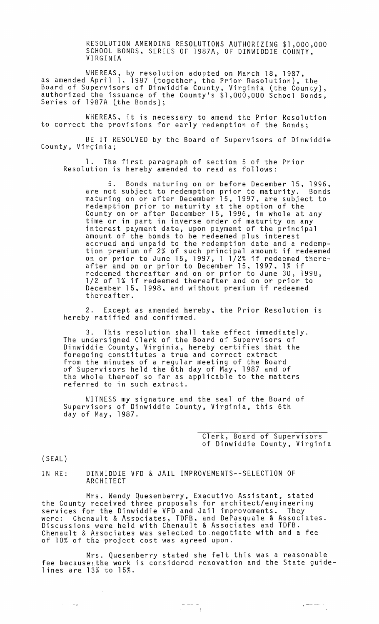RESOLUTION AMENDING RESOLUTIONS AUTHORIZING \$1,000,000 SCHOOL BONDS, SERIES OF 1987A, OF DINWIDDIE COUNTY, VIRGINIA

WHEREAS, by resolution adopted on March 18, 1987, as amended April 1, 1987 (together, the Prior Resolution), the Board of Supervisors of Dinwiddie County, Virginia (the County), authorized the issuance of the County's \$1,000,000 School Bonds, Series of 1987A (the Bonds);

WHEREAS, it is necessary to amend the Prior Resolution to correct the provisions for early redemption of the Bonds;

BE IT RESOLVED by the Board of Supervisors of Dinwiddie County, Virginia;

1. The first paragraph of section 5 of the Prior Resolution is hereby amended to read as follows:

5. Bonds maturing on or before December 15, 1996, are not subject to redemption prior to maturity. Bonds maturing on or after December 15, 1997, are subject to redemption prior to maturity at the option of the County on or after December 15, 1996, in whole at any time or in part in inverse order of maturity on any interest payment date, upon payment of the principal amount of the bonds to be redeemed plus interest accrued and unpaid to the redemption date and a redemption premium of 2% of such principal amount if redeemed on or prior to June 15, 1997, 1 1/2% if redeemed thereafter and on or prior to December 15, 1997, 1% if redeemed thereafter and on or prior to June 30, 1998, 1/2 of 1% if redeemed thereafter and on or prior to December 15, 1998, and without premium if redeemed thereafter.

2. Except as amended hereby, the Prior Resolution is hereby ratified and confirmed.

3. This resolution shall take effect immediately. The undersigned Clerk of the Board of Supervisors of Dinwiddie County, Virginia, hereby certifies that the foregoing constitutes a true and correct extract from the minutes of a regular meeting of the Board of Supervisors held the 6th day of May, 1987 and of the whole thereof so far as applicable to the matters referred to in such extract.

WITNESS my signature and the seal of the Board of Supervisors of Dinwiddie County, Virginia, this 6th day of May, 1987.

> Clerk, Board of Supervisors of Dinwiddie County, Virginia

> > $\label{eq:reduced} \begin{split} \mathcal{L}_{\text{max}} = \mathcal{L}_{\text{max}} + \mathcal{L}_{\text{max}} \\ \mathcal{L}_{\text{max}} = \mathcal{L}_{\text{max}} + \mathcal{L}_{\text{max}} \\ \mathcal{L}_{\text{max}} = \mathcal{L}_{\text{max}} + \mathcal{L}_{\text{max}} \\ \mathcal{L}_{\text{max}} = \mathcal{L}_{\text{max}} + \mathcal{L}_{\text{max}} + \mathcal{L}_{\text{max}} \\ \mathcal{L}_{\text{max}} = \mathcal{L}_{\text{max}} + \mathcal{L}_{\text{max}} + \mathcal{L}_{\text{max}} \\ \mathcal$

(SEAL)

 $\sim$   $\sim$   $\sim$ 

IN RE: DINWIDDIE VFD & JAIL IMPROVEMENTS--SELECTION OF ARCHITECT

Mrs. Wendy Quesenberry, Executive Assistant, stated the County received three proposals for architect/engineering services for the Dinwiddie VFD and Jail improvements. They were: Chenault & Associates, TDFB, and DePasquale & Associates. Discussions were held with Chenault & Associates and TDFB. Chenault & Associates was selected to.negotiate with and a fee of 10% of the project cost was agreed upon.

Mrs. Quesenberry stated she felt this was a reasonable fee because the work is considered renovation and the State guidelines are 13% to 15%.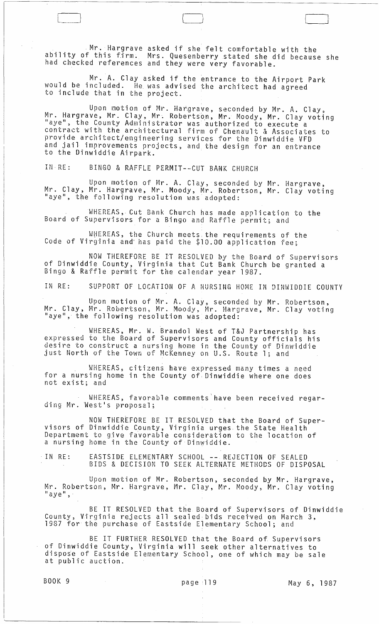. Mr. Hargrave asked if she felt comfortable with the ability of this firm. Mrs. Quesenberry stated she did because she had checked references and they were very favorable.

Mr. A. Clay asked if the entrance to the Airport Park would be included. He was advised the architect had agreed to include that in the project.

Upon motion of Mr. Hargrave, seconded by Mr. A. Clay, Mr. Hargrave, Mr. Clay, Mr. Robertson, Mr. Moody, Mr. Clay voting "aye", the County Administrator was authorized to execute a contract with the architectural firm of Chenault & Associates to provide architect/engineering services for the Dinwiddie VFD and jail improvements projects, and the design for an entrance to the Dinwiddie Airpark.

IN· RE: BINGO & RAFFLE PERMIT--CUT BANK CHURCH

Upon motion of Mr. A. Clay, seconded by Mr. Hargrave, Mr. Clay, Mr. Hargrave, Mr. Moody, Mr. Robertson, Mr. Clay voting "aye", the following resolution was adopted:

WHEREAS, Cut Bank Church has made application to the Board of Supervisors for a Bingo and Raffle permit; and

WHEREAS, the Church meets the requirements of the Code of Virginia and' has paid the \$10.00 application fee;

NOW THEREFORE BE IT RESOLVED by the Board of Supervisors of Dinwiddie County, Virginia that Cut Bank Church be granted a Bingo & Raffle permit for the calendar year 1987.

IN RE: SUPPORT OF LOCATION OF A NURSING HOME IN DINWIDDIE COUNTY

Upon motion of Mr. A. Clay, seconded by Mr. Robertson, Mr. Clay, Mr. Robertson, Mr. Moody, Mr. Hargrave, Mr. Clay voting "aye", the following resolution was adopted:

WHEREAS, Mr. W. Brandol West of T&J Partnership has expressed to the Board of Supervisors and County officials his desire to construct a nursing home in the County of Dinwiddie just North of the Town of McKenney on U.S. Route 1; and

WHEREAS, citizens have expressed many times a need for a nursing home in the County of, Dinwiddie where one does not exist; and

WHEREAS, favorable comments'have been received regarding Mr. West's proposal;

NOW THEREFORE BE IT RESOLVED that the Board of Supervisors of Dinwiddie County, Virginia urges. the State Health Department to give favorable consideration to the location of a nursing home in the County of Dinwiddie.

IN RE: EASTSIDE ELEMENTARY SCHOOL -- REJECTION OF SEALED BIDS & DECISION TO SEEK ALTERNATE METHODS OF DISPOSAL

Upon motion of Mr. Robertson, seconded by Mr. Hargrave, Mr. Robertson, Mr. Hargrave, Mr. Clay, Mr. Moody, Mr. Clay voting  $"$  aye",

BE IT RESOLVED that the Board of Supervisors of Dinwiddie County, Virginia rejects all sealed bids received on March 3, 1987 for the purchase of Eastside Elementary School; and

BE IT FURTHER RESOLVED that the Board of Supervisors of Dinwiddie County, Virginia will seek other alternatives to dispose of Eastside Elementary School, one of which may be sale at public auction.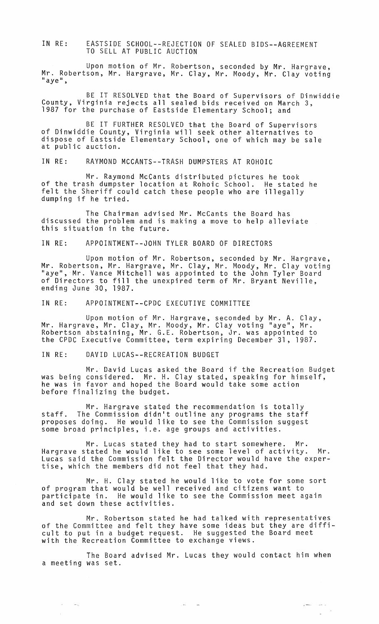IN RE: EASTSIDE SCHOOL--REJECTION OF SEALED BIDS--AGREEMENT TO SELL AT PUBLIC AUCTION

Upon motion of Mr. Robertson, seconded by Mr. Hargrave, Mr. Robertson, Mr. Hargrave, Mr. Clay, Mr. Moody, Mr. Clay voting<br>"aye",

BE IT RESOLVED that the Board of Supervisors of Dinwiddie County, Virginia rejects all sealed bids received on March 3, 1987 for the purchase of Eastside Elementary School; and

BE IT FURTHER RESOLVED that the Board of Supervisors of Dinwiddie County, Virginia will seek other alternatives to dispose of Eastside Elementary School, one of which may be sale at public auction.

IN RE: RAYMOND MCCANTS--TRASH DUMPSTERS AT ROHOIC

Mr. Raymond McCants distributed pictures he took of the trash dumpster location at Rohoic School. He stated he felt the Sheriff could catch these people who are illegally dumping if he tried.

The Chairman advised Mr. McCants the Board has discussed the problem and is making a move to help alleviate this situation in the future.

IN RE: APPOINTMENT--JOHN TYLER BOARD OF DIRECTORS

Upon motion of Mr. Robertson, seconded by Mr. Hargrave, Mr. Robertson, Mr. Hargrave, Mr. Clay, Mr. Moody, Mr. Clay voting "aye", Mr. Vance Mitchell was appointed to the John Tyler Board of Directors to fill the unexpired term of Mr. Bryant Neville, ending June 30, 1987.

IN RE: APPOINTMENT--CPDC EXECUTIVE COMMITTEE

Upon motion of Mr. Hargrave, seconded by Mr. A. Clay, Mr. Hargrave, Mr. Clay, Mr. Moody, Mr. Clay voting "aye", Mr. Robertson abstaining, Mr. G.E. Robertson, Jr. was appointed to the CPDC Executive Committee, term expiring December 31, 1987.

IN RE: DAVID LUCAS--RECREATION BUDGET

 $\sim$ 

 $\hat{\mathcal{A}}$ 

 $\gamma=\gamma_c$ 

Mr. David Lucas asked the Board if the Recreation Budget was being considered. Mr. H. Clay stated, speaking for himself, he was in favor and hoped the Board would take some action before finalizing the budget.

Mr. Hargrave stated the recommendation is totally staff. The Commission didn't outline any programs the staff proposes doing. He would like to see the Commission suggest some broad principles, i.e. age groups and activities.

Mr. Lucas stated they had to start somewhere. Mr. Hargrave stated he would like to see some level of activity. Mr. Lucas said the Commission felt the Director would have the expertise, which the members did not feel that they had.

Mr. H. Clay stated he would like to vote for some sort of program that would be well received and citizens want to participate in. He would like to see the Commission meet again and set down these activities.

Mr. Robertson stated he had talked with representatives of the Committee and felt they have some ideas but they are difficult to put in a budget request. He suggested the Board meet with the Recreation Committee to exchange views.

The Board advised Mr. Lucas they would contact him when a meeting was set.

 $\sim$  , where  $\sim$   $\sim$ 

 $\mathcal{A}$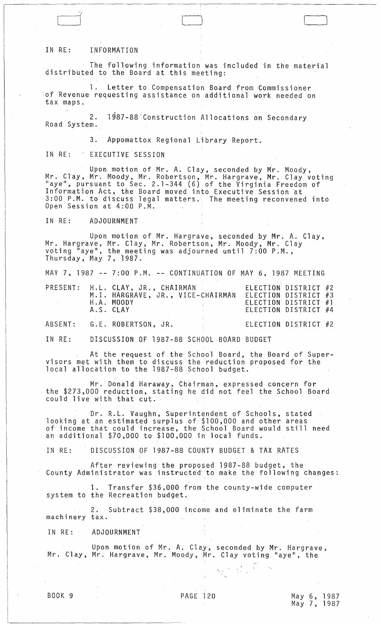## IN RE: INFORMATION

~, ~J

The following information was included in the material distributed to the Board at this meeting:

1. Letter to Compensation Board from Commissioner of Revenue requesting assistance on additional work needed on tax maps.

2. 1987-88 Construction Allocations on Secondary<br>Road System.

3. Appomattox Regional Library Report.

IN RE: EXECUTIVE SESSION

Upon motion of Mr. A. Clay, seconded by Mr. Moody, Mr. Clay, Mr. Moody, Mr. Robertson, Mr. Hargrave, Mr. Clay voting<br>"aye", pursuant to Sec. 2.1-344 (6) of the Virginia Freedom of Information Act, the Board moved into Executive Session at 3:00 P.M. to discuss legal matters. The meeting reconvened into Open Session at 4:00 P.M.

IN RE: ADJOURNMENT

Upon motion of Mr. Hargrave, seconded by Mr. A. Clay, Mr. Hargrave, Mr. Clay, Mr. Robertson, Mr. Moody, Mr. Clay voting  $\tilde{a}$  aye", the meeting was adjourned until 7:00 P.M., Thursday, May 7, i987.

MAY 7, 1987 **--** 7:00 P.M. **--** CONTINUATION OF MAY 6, 1987 MEETING

|  | PRESENT: H.L. CLAY, JR., CHAIRMAN<br>H.A. MOODY<br>A.S. CLAY | M.I. HARGRAVE, JR., VICE-CHAIRMAN | ELECTION DISTRICT #3 | ELECTION DISTRICT #2<br>ELECTION DISTRICT #1<br>ELECTION DISTRICT #4 |  |
|--|--------------------------------------------------------------|-----------------------------------|----------------------|----------------------------------------------------------------------|--|
|  | ABSENT: G.E. ROBERTSON, JR.                                  |                                   |                      | ELECTION DISTRICT #2                                                 |  |

IN RE: DISCUSSION OF 1987-88 SCHOOL BOARD BUDGET

At the request of the School Board, the Board of Super- visors met with them to discuss the reduction proposed for the local allocation to the 1987-88 School budget.

Mr. Donald Haraway, Chairman, expressed concern for the \$273,000 reduction, stating he did not feel the School Board could live with that cut.

Dr. R.L. Vaughn, Superintendent of Schools, stated looking at an estimated surplus of \$100,000 and other areas of income that could increase, the School Board would still need an additional *\$JO,OOO* to \$100,000 in local funds.

IN RE: DISCUSSION OF 1987-88 COUNTY BUDGET & TAX RATES

.. After reviewing the proposed 1987-88 budget, the County Administrator was instructed to make the following changes:

1. Transfer \$36,000 from the county-wide computer system to the Recreation budget.

2. Subtract \$38,000 income and eliminate the farm machinery tax.

IN RE: ADJOURNMENT

Upon motion of Mr. A. Clay, seconded by Mr. Hargrave, Mr. Clay, Mr. Hargrave, Mr. Moody, Mr. Clay voting "aye", the

 $\frac{1}{2} \sum_{i=1}^N \frac{1}{2} \sum_{j=1}^N \frac{1}{2}$